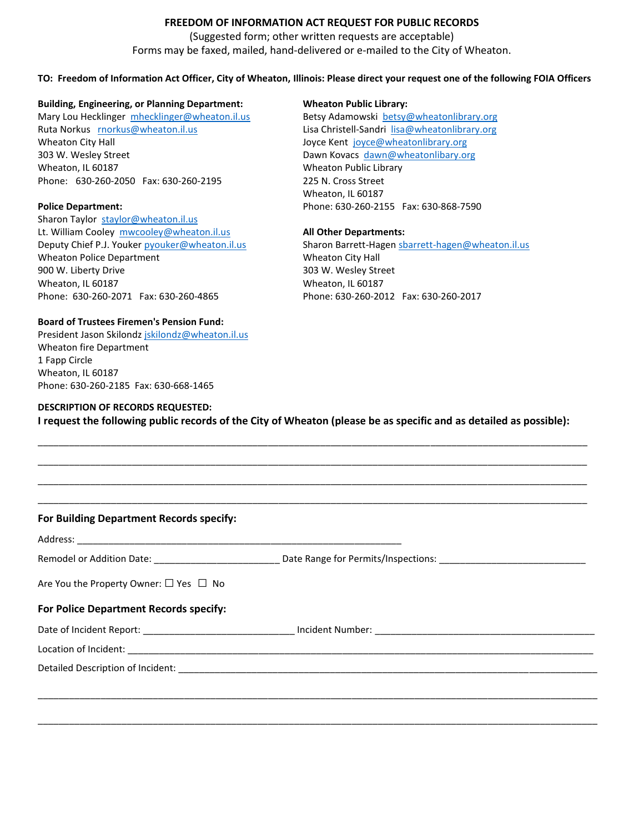# **FREEDOM OF INFORMATION ACT REQUEST FOR PUBLIC RECORDS**

(Suggested form; other written requests are acceptable) Forms may be faxed, mailed, hand-delivered or e-mailed to the City of Wheaton.

## **TO: Freedom of Information Act Officer, City of Wheaton, Illinois: Please direct your request one of the following FOIA Officers**

### **Building, Engineering, or Planning Department: Wheaton Public Library:**

Mary Lou Hecklinger [mhecklinger@wheaton.il.us](mailto:mhecklinger@wheaton.il.us) Betsy Adamowski [betsy@wheatonlibrary.org](mailto:betsy@wheatonlibrary.org) Ruta Norkus [rnorkus@wheaton.il.us](mailto:rnorkus@wheaton.il.us) Lisa Christell-Sandri [lisa@wheatonlibrary.org](mailto:lisa@wheatonlibrary.org) Wheaton City Hall **Wheaton City Hall Accord City Controller City** Accord Joyce Kent [joyce@wheatonlibrary.org](mailto:joyce@wheatonlibrary.org) 303 W. Wesley Street **Dawn Kovacs dawn**@wheatonlibary.org Wheaton, IL 60187 Mheaton Public Library Phone: 630-260-2050 Fax: 630-260-2195 225 N. Cross Street

Sharon Taylor [staylor@wheaton.il.us](mailto:staylor@wheaton.il.us) Lt. William Cooley [mwcooley@wheaton.il.us](mailto:mwcooley@wheaton.il.us) **All Other Departments:** Wheaton Police Department Wheaton City Hall 900 W. Liberty Drive 2003 W. Wesley Street Wheaton, IL 60187 Wheaton, IL 60187 Phone: 630-260-2071 Fax: 630-260-4865 Phone: 630-260-2012 Fax: 630-260-2017

Wheaton, IL 60187 **Police Department:** Phone: 630-260-2155 Fax: 630-868-7590

Deputy Chief P.J. Youker [pyouker@wheaton.il.us](mailto:pyouker@wheaton.il.us) Sharon Barrett-Hagen [sbarrett-hagen@wheaton.il.us](mailto:sbarrett-hagen@wheaton.il.us)

## **Board of Trustees Firemen's Pension Fund:**

President Jason Skilondz [jskilondz@wheaton.il.us](mailto:jskilondz@wheaton.il.us) Wheaton fire Department 1 Fapp Circle Wheaton, IL 60187 Phone: 630-260-2185 Fax: 630-668-1465

### **DESCRIPTION OF RECORDS REQUESTED:**

**I request the following public records of the City of Wheaton (please be as specific and as detailed as possible):**

\_\_\_\_\_\_\_\_\_\_\_\_\_\_\_\_\_\_\_\_\_\_\_\_\_\_\_\_\_\_\_\_\_\_\_\_\_\_\_\_\_\_\_\_\_\_\_\_\_\_\_\_\_\_\_\_\_\_\_\_\_\_\_\_\_\_\_\_\_\_\_\_\_\_\_\_\_\_\_\_\_\_\_\_\_\_\_\_\_\_\_\_\_\_\_\_\_\_\_\_\_\_\_\_\_ \_\_\_\_\_\_\_\_\_\_\_\_\_\_\_\_\_\_\_\_\_\_\_\_\_\_\_\_\_\_\_\_\_\_\_\_\_\_\_\_\_\_\_\_\_\_\_\_\_\_\_\_\_\_\_\_\_\_\_\_\_\_\_\_\_\_\_\_\_\_\_\_\_\_\_\_\_\_\_\_\_\_\_\_\_\_\_\_\_\_\_\_\_\_\_\_\_\_\_\_\_\_\_\_\_ \_\_\_\_\_\_\_\_\_\_\_\_\_\_\_\_\_\_\_\_\_\_\_\_\_\_\_\_\_\_\_\_\_\_\_\_\_\_\_\_\_\_\_\_\_\_\_\_\_\_\_\_\_\_\_\_\_\_\_\_\_\_\_\_\_\_\_\_\_\_\_\_\_\_\_\_\_\_\_\_\_\_\_\_\_\_\_\_\_\_\_\_\_\_\_\_\_\_\_\_\_\_\_\_\_

| Are You the Property Owner: $\Box$ Yes $\Box$ No<br>For Police Department Records specify:                     |  |
|----------------------------------------------------------------------------------------------------------------|--|
|                                                                                                                |  |
|                                                                                                                |  |
|                                                                                                                |  |
| Date of Incident Report: _________________________________ Incident Number: __________________________________ |  |
|                                                                                                                |  |
|                                                                                                                |  |
|                                                                                                                |  |
|                                                                                                                |  |

\_\_\_\_\_\_\_\_\_\_\_\_\_\_\_\_\_\_\_\_\_\_\_\_\_\_\_\_\_\_\_\_\_\_\_\_\_\_\_\_\_\_\_\_\_\_\_\_\_\_\_\_\_\_\_\_\_\_\_\_\_\_\_\_\_\_\_\_\_\_\_\_\_\_\_\_\_\_\_\_\_\_\_\_\_\_\_\_\_\_\_\_\_\_\_\_\_\_\_\_\_\_\_\_\_\_\_